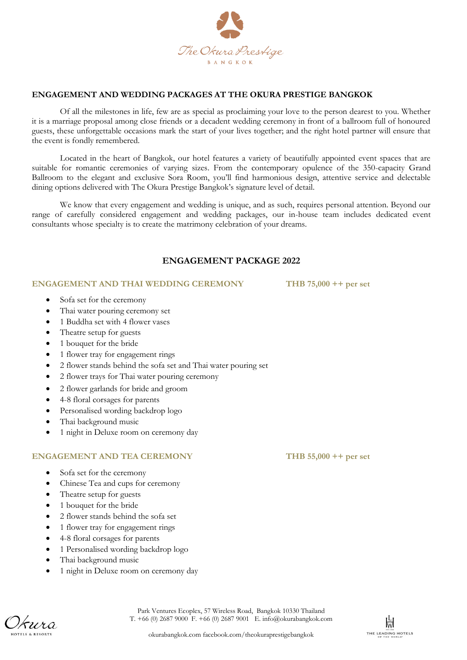

# **ENGAGEMENT AND WEDDING PACKAGES AT THE OKURA PRESTIGE BANGKOK**

Of all the milestones in life, few are as special as proclaiming your love to the person dearest to you. Whether it is a marriage proposal among close friends or a decadent wedding ceremony in front of a ballroom full of honoured guests, these unforgettable occasions mark the start of your lives together; and the right hotel partner will ensure that the event is fondly remembered.

Located in the heart of Bangkok, our hotel features a variety of beautifully appointed event spaces that are suitable for romantic ceremonies of varying sizes. From the contemporary opulence of the 350-capacity Grand Ballroom to the elegant and exclusive Sora Room, you'll find harmonious design, attentive service and delectable dining options delivered with The Okura Prestige Bangkok's signature level of detail.

We know that every engagement and wedding is unique, and as such, requires personal attention. Beyond our range of carefully considered engagement and wedding packages, our in-house team includes dedicated event consultants whose specialty is to create the matrimony celebration of your dreams.

# **ENGAGEMENT PACKAGE 2022**

#### **ENGAGEMENT AND THAI WEDDING CEREMONY THB 75,000 ++ per set**

- Sofa set for the ceremony
- Thai water pouring ceremony set
- 1 Buddha set with 4 flower vases
- Theatre setup for guests
- 1 bouquet for the bride
- 1 flower tray for engagement rings
- 2 flower stands behind the sofa set and Thai water pouring set
- 2 flower trays for Thai water pouring ceremony
- 2 flower garlands for bride and groom
- 4-8 floral corsages for parents
- Personalised wording backdrop logo
- Thai background music
- 1 night in Deluxe room on ceremony day

## **ENGAGEMENT AND TEA CEREMONY THB 55,000 ++ per set**

- Sofa set for the ceremony
- Chinese Tea and cups for ceremony
- Theatre setup for guests
- 1 bouquet for the bride
- 2 flower stands behind the sofa set
- 1 flower tray for engagement rings
- 4-8 floral corsages for parents
- 1 Personalised wording backdrop logo
- Thai background music
- 1 night in Deluxe room on ceremony day



okurabangkok.com facebook.com/theokuraprestigebangkok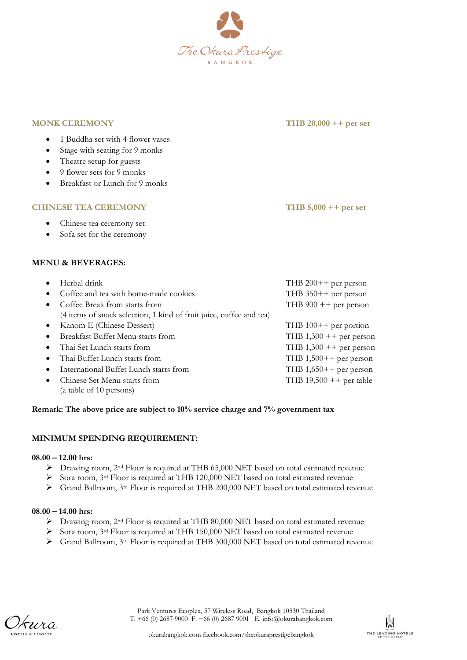

**MONK CEREMONY THB 20,000 ++ per set**

- 1 Buddha set with 4 flower vases
- Stage with seating for 9 monks
- Theatre setup for guests
- $\bullet$  9 flower sets for 9 monks
- Breakfast or Lunch for 9 monks

#### **CHINESE TEA CEREMONY THB 5,000 ++ per set**

- Chinese tea ceremony set
- Sofa set for the ceremony

# **MENU & BEVERAGES:**

|           | Herbal drink                                                        | THB $200++$ per person     |
|-----------|---------------------------------------------------------------------|----------------------------|
| $\bullet$ | Coffee and tea with home-made cookies                               | THB $350++$ per person     |
|           | Coffee Break from starts from                                       | THB $900 + +$ per person   |
|           | (4 items of snack selection, 1 kind of fruit juice, coffee and tea) |                            |
| $\bullet$ | Kanom E (Chinese Dessert)                                           | THB $100++$ per portion    |
|           | Breakfast Buffet Menu starts from                                   | THB $1,300 ++$ per person  |
| $\bullet$ | Thai Set Lunch starts from                                          | THB $1,300 ++$ per person  |
| $\bullet$ | Thai Buffet Lunch starts from                                       | THB $1,500++$ per person   |
|           | International Buffet Lunch starts from                              | THB $1,650++$ per person   |
|           | Chinese Set Menu starts from                                        | THB $19,500 + +$ per table |
|           | (a table of 10 persons)                                             |                            |

## **Remark: The above price are subject to 10% service charge and 7% government tax**

## **MINIMUM SPENDING REQUIREMENT:**

## **08.00 – 12.00 hrs:**

- Drawing room, 2nd Floor is required at THB 65,000 NET based on total estimated revenue
- Sora room, 3rd Floor is required at THB 120,000 NET based on total estimated revenue
- Grand Ballroom, 3rd Floor is required at THB 200,000 NET based on total estimated revenue

## **08.00 – 14.00 hrs:**

- Drawing room, 2nd Floor is required at THB 80,000 NET based on total estimated revenue
- Sora room, 3<sup>rd</sup> Floor is required at THB 150,000 NET based on total estimated revenue
- $\triangleright$  Grand Ballroom, 3<sup>rd</sup> Floor is required at THB 300,000 NET based on total estimated revenue

*kura*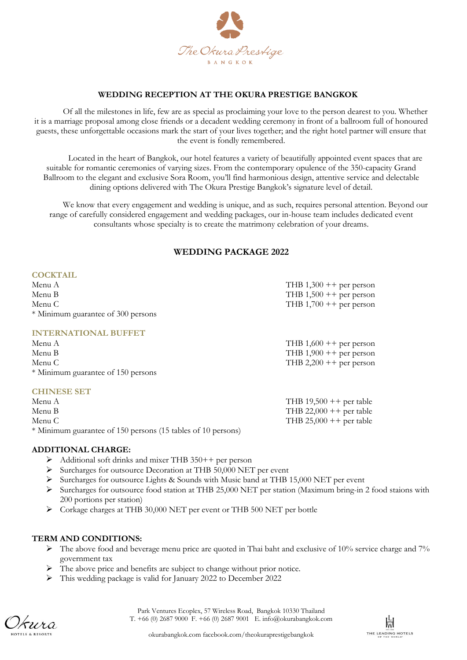

## **WEDDING RECEPTION AT THE OKURA PRESTIGE BANGKOK**

Of all the milestones in life, few are as special as proclaiming your love to the person dearest to you. Whether it is a marriage proposal among close friends or a decadent wedding ceremony in front of a ballroom full of honoured guests, these unforgettable occasions mark the start of your lives together; and the right hotel partner will ensure that the event is fondly remembered.

Located in the heart of Bangkok, our hotel features a variety of beautifully appointed event spaces that are suitable for romantic ceremonies of varying sizes. From the contemporary opulence of the 350-capacity Grand Ballroom to the elegant and exclusive Sora Room, you'll find harmonious design, attentive service and delectable dining options delivered with The Okura Prestige Bangkok's signature level of detail.

We know that every engagement and wedding is unique, and as such, requires personal attention. Beyond our range of carefully considered engagement and wedding packages, our in-house team includes dedicated event consultants whose specialty is to create the matrimony celebration of your dreams.

# **WEDDING PACKAGE 2022**

#### **COCKTAIL**

| Menu A                             | THB $1,300 + +$ per person |
|------------------------------------|----------------------------|
| Menu B                             | THB $1,500 + +$ per person |
| Menu C                             | THB $1,700 + +$ per person |
| * Minimum guarantee of 300 persons |                            |
| <b>INTERNATIONAL BUFFET</b>        |                            |
| Menu A                             | THB $1,600 + +$ per person |
| Menu B                             | THB $1,900 + +$ per person |
| Menu C                             | THB 2,200 $++$ per person  |
| * Minimum guarantee of 150 persons |                            |
| <b>CHINESE SET</b>                 |                            |
| Menu A                             | THB $19,500$ ++ per table  |
| Menu B                             | THB 22,000 $++$ per table  |

Menu C THB 25,000 + per table \* Minimum guarantee of 150 persons (15 tables of 10 persons)

#### **ADDITIONAL CHARGE:**

- $\triangleright$  Additional soft drinks and mixer THB 350++ per person
- $\triangleright$  Surcharges for outsource Decoration at THB 50,000 NET per event
- Surcharges for outsource Lights & Sounds with Music band at THB 15,000 NET per event
- $\triangleright$  Surcharges for outsource food station at THB 25,000 NET per station (Maximum bring-in 2 food staions with 200 portions per station)
- Corkage charges at THB 30,000 NET per event or THB 500 NET per bottle

#### **TERM AND CONDITIONS:**

- $\triangleright$  The above food and beverage menu price are quoted in Thai baht and exclusive of 10% service charge and 7% government tax
- The above price and benefits are subject to change without prior notice.
- This wedding package is valid for January 2022 to December 2022

*kura*